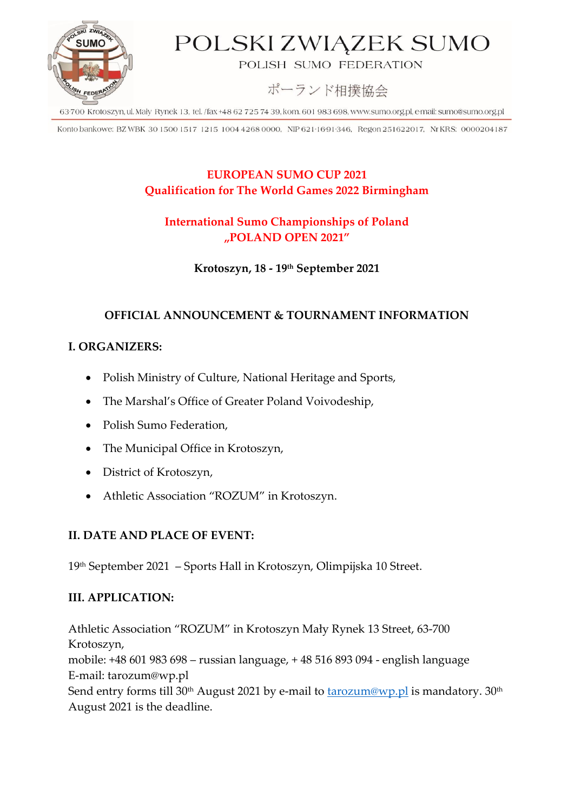

# POLSKI ZWIĄZEK SUMO

POLISH SUMO FEDERATION

ポーランド相撲協会

63-700 Krotoszyn, ul. Mały Rynek 13, tel. /fax +48 62 725 74 39, kom. 601 983 698, www.sumo.org.pl, e-mail: sumo@sumo.org.pl

Konto bankowe: BZ WBK 30 1500 1517 1215 1004 4268 0000, NIP 621 1691 346, Regon 251622017, NrKRS: 0000204187

### **EUROPEAN SUMO CUP 2021 Qualification for The World Games 2022 Birmingham**

## **International Sumo Championships of Poland "POLAND OPEN 2021"**

**Krotoszyn, 18 - 19 th September 2021**

### **OFFICIAL ANNOUNCEMENT & TOURNAMENT INFORMATION**

## **I. ORGANIZERS:**

- Polish Ministry of Culture, National Heritage and Sports,
- The Marshal's Office of Greater Poland Voivodeship,
- Polish Sumo Federation,
- The Municipal Office in Krotoszyn,
- District of Krotoszyn,
- Athletic Association "ROZUM" in Krotoszyn.

#### **II. DATE AND PLACE OF EVENT:**

19th September 2021 – Sports Hall in Krotoszyn, Olimpijska 10 Street.

#### **III. APPLICATION:**

Athletic Association "ROZUM" in Krotoszyn Mały Rynek 13 Street, 63-700 Krotoszyn, mobile: +48 601 983 698 – russian language, + 48 516 893 094 - english language E-mail: tarozum@wp.pl Send entry forms till 30<sup>th</sup> August 2021 by e-mail to [tarozum@wp.pl](mailto:tarozum@wp.pl) is mandatory.  $30<sup>th</sup>$ August 2021 is the deadline.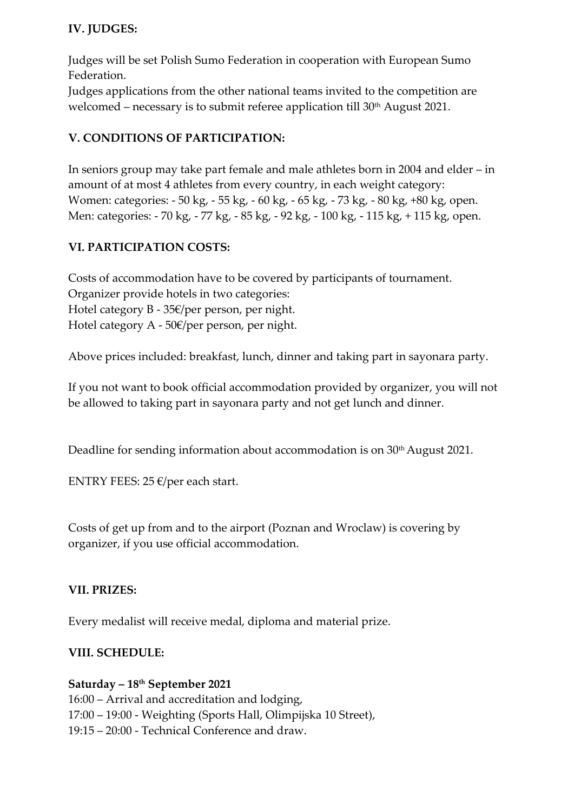### **IV. JUDGES:**

Judges will be set Polish Sumo Federation in cooperation with European Sumo Federation.

Judges applications from the other national teams invited to the competition are welcomed – necessary is to submit referee application till 30<sup>th</sup> August 2021.

## **V. CONDITIONS OF PARTICIPATION:**

In seniors group may take part female and male athletes born in 2004 and elder – in amount of at most 4 athletes from every country, in each weight category: Women: categories: - 50 kg, - 55 kg, - 60 kg, - 65 kg, - 73 kg, - 80 kg, +80 kg, open. Men: categories: - 70 kg, - 77 kg, - 85 kg, - 92 kg, - 100 kg, - 115 kg, + 115 kg, open.

## **VI. PARTICIPATION COSTS:**

Costs of accommodation have to be covered by participants of tournament. Organizer provide hotels in two categories: Hotel category B - 35€/per person, per night. Hotel category A - 50€/per person, per night.

Above prices included: breakfast, lunch, dinner and taking part in sayonara party.

If you not want to book official accommodation provided by organizer, you will not be allowed to taking part in sayonara party and not get lunch and dinner.

Deadline for sending information about accommodation is on 30<sup>th</sup> August 2021.

ENTRY FEES: 25  $\epsilon$ /per each start.

Costs of get up from and to the airport (Poznan and Wroclaw) is covering by organizer, if you use official accommodation.

#### **VII. PRIZES:**

Every medalist will receive medal, diploma and material prize.

#### **VIII. SCHEDULE:**

#### **Saturday – 18th September 2021**

16:00 – Arrival and accreditation and lodging, 17:00 – 19:00 - Weighting (Sports Hall, Olimpijska 10 Street), 19:15 – 20:00 - Technical Conference and draw.